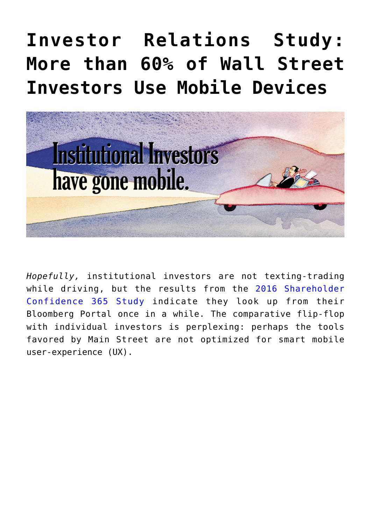## **[Investor Relations Study:](https://www.commpro.biz/investor-relations-study-more-than-60-of-wall-street-investors-use-mobile-devices/) [More than 60% of Wall Street](https://www.commpro.biz/investor-relations-study-more-than-60-of-wall-street-investors-use-mobile-devices/) [Investors Use Mobile Devices](https://www.commpro.biz/investor-relations-study-more-than-60-of-wall-street-investors-use-mobile-devices/)**



*Hopefully,* institutional investors are not texting-trading while driving, but the results from the [2016 Shareholder](https://e.prnewswire.com/Shareholder-study-365-prn.html) [Confidence 365 Study](https://e.prnewswire.com/Shareholder-study-365-prn.html) indicate they look up from their Bloomberg Portal once in a while. The comparative flip-flop with individual investors is perplexing: perhaps the tools favored by Main Street are not optimized for smart mobile user-experience (UX).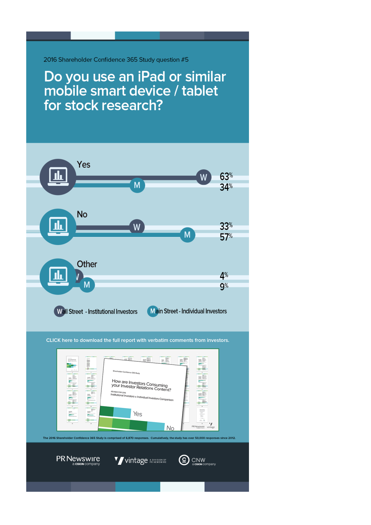2016 Shareholder Confidence 365 Study question #5

Do you use an iPad or similar<br>mobile smart device / tablet for stock research?